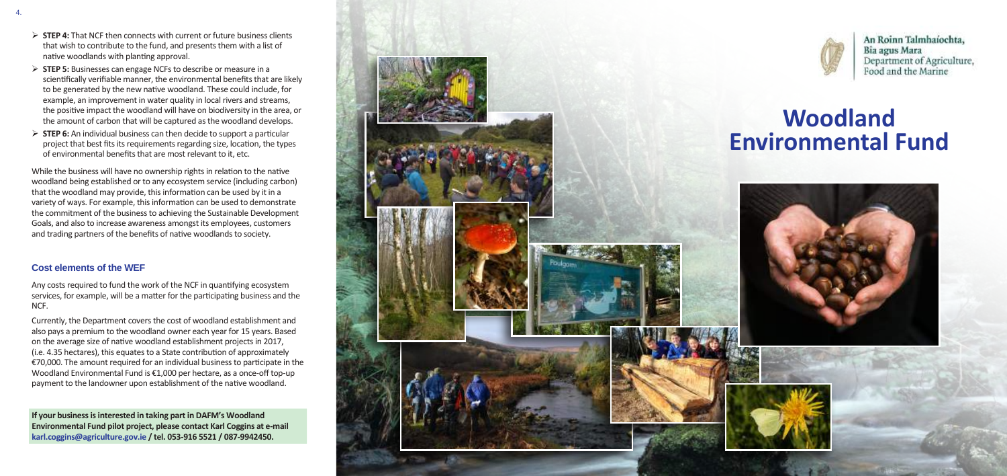- ¾ **STEP 4:** That NCF then connects with current or future business clients that wish to contribute to the fund, and presents them with a list of native woodlands with planting approval.
- ¾ **STEP 5:** Businesses can engage NCFs to describe or measure in a scientifically verifiable manner, the environmental benefits that are likely to be generated by the new native woodland. These could include, for example, an improvement in water quality in local rivers and streams, the positive impact the woodland will have on biodiversity in the area, or the amount of carbon that will be captured as the woodland develops.
- ¾ **STEP 6:** An individual business can then decide to support a particular project that best fits its requirements regarding size, location, the types of environmental benefits that are most relevant to it, etc.

While the business will have no ownership rights in relation to the native woodland being established or to any ecosystem service (including carbon) that the woodland may provide, this information can be used by it in a variety of ways. For example, this information can be used to demonstrate the commitment of the business to achieving the Sustainable Development Goals, and also to increase awareness amongst its employees, customers and trading partners of the benefits of native woodlands to society.

# **Cost elements of the WEF**

Any costs required to fund the work of the NCF in quantifying ecosystem services, for example, will be a matter for the participating business and the NCF.

Currently, the Department covers the cost of woodland establishment and also pays a premium to the woodland owner each year for 15 years. Based on the average size of native woodland establishment projects in 2017, (i.e. 4.35 hectares), this equates to a State contribution of approximately €70,000. The amount required for an individual business to participate in the Woodland Environmental Fund is €1,000 per hectare, as a once-off top-up payment to the landowner upon establishment of the native woodland.



An Roinn Talmhaíochta, Department of Agriculture,



**If your business is interested in taking part in DAFM's Woodland Environmental Fund pilot project, please contact Karl Coggins at e-mail karl.coggins@agriculture.gov.ie / tel. 053-916 5521 / 087-9942450.**